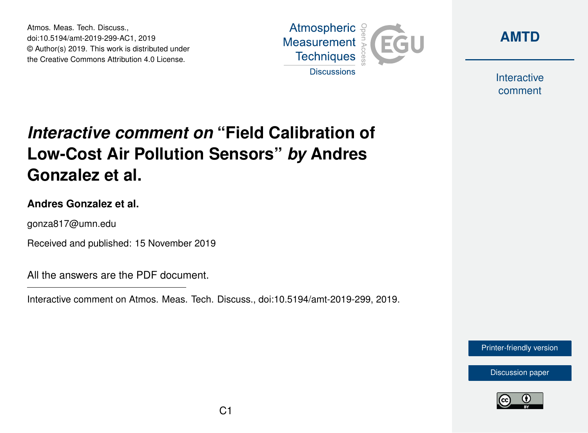Atmos. Meas. Tech. Discuss., doi:10.5194/amt-2019-299-AC1, 2019 © Author(s) 2019. This work is distributed under the Creative Commons Attribution 4.0 License.





Interactive comment

# *Interactive comment on* **"Field Calibration of Low-Cost Air Pollution Sensors"** *by* **Andres Gonzalez et al.**

### **Andres Gonzalez et al.**

gonza817@umn.edu

Received and published: 15 November 2019

All the answers are the PDF document.

Interactive comment on Atmos. Meas. Tech. Discuss., doi:10.5194/amt-2019-299, 2019.

[Printer-friendly version](https://www.atmos-meas-tech-discuss.net/amt-2019-299/amt-2019-299-AC1-print.pdf)

[Discussion paper](https://www.atmos-meas-tech-discuss.net/amt-2019-299)